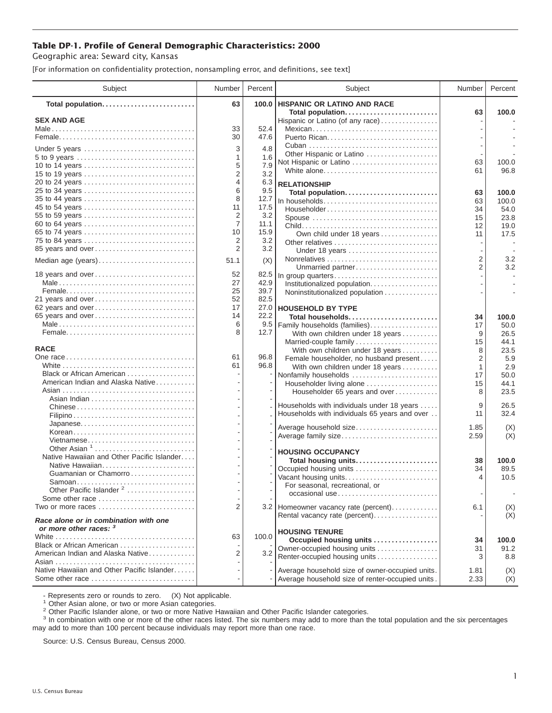## **Table DP-1. Profile of General Demographic Characteristics: 2000**

Geographic area: Seward city, Kansas

[For information on confidentiality protection, nonsampling error, and definitions, see text]

| Subject                                                                                                       | Number | Percent     | Subject                                                   | Number         | Percent      |
|---------------------------------------------------------------------------------------------------------------|--------|-------------|-----------------------------------------------------------|----------------|--------------|
| Total population                                                                                              | 63     | 100.0       | <b>HISPANIC OR LATINO AND RACE</b>                        |                |              |
| <b>SEX AND AGE</b>                                                                                            |        |             | Total population<br>Hispanic or Latino (of any race)      | 63             | 100.0        |
|                                                                                                               | 33     | 52.4        | Mexican                                                   |                |              |
|                                                                                                               | 30     | 47.6        |                                                           |                |              |
|                                                                                                               |        |             |                                                           |                |              |
| Under 5 years                                                                                                 | 3      | 4.8         | Other Hispanic or Latino                                  |                |              |
| 5 to 9 years                                                                                                  | 1<br>5 | 1.6<br>7.9  | Not Hispanic or Latino                                    | 63             | 100.0        |
| 10 to 14 years<br>15 to 19 years                                                                              | 2      | 3.2         | White alone                                               | 61             | 96.8         |
| 20 to 24 years                                                                                                | 4      | 6.3         | <b>RELATIONSHIP</b>                                       |                |              |
| 25 to 34 years                                                                                                | 6      | 9.5         | Total population                                          | 63             | 100.0        |
| 35 to 44 years                                                                                                | 8      | 12.7        |                                                           | 63             | 100.0        |
| 45 to 54 years                                                                                                | 11     | 17.5        | Householder                                               | 34             | 54.0         |
| 55 to 59 years                                                                                                | 2      | 3.2         |                                                           | 15             | 23.8         |
| 60 to 64 years                                                                                                | 7      | 11.1        |                                                           | 12             | 19.0         |
| 65 to 74 years                                                                                                | 10     | 15.9        | Own child under 18 years                                  | 11             | 17.5         |
| 75 to 84 years                                                                                                | 2      | 3.2         | Other relatives                                           |                |              |
| 85 years and over                                                                                             | 2      | 3.2         | Under 18 years                                            |                |              |
| Median age (years)                                                                                            | 51.1   | (X)         |                                                           | $\overline{2}$ | 3.2          |
|                                                                                                               |        |             | Unmarried partner                                         | $\overline{2}$ | 3.2          |
| 18 years and over                                                                                             | 52     | 82.5        | In group quarters                                         |                |              |
|                                                                                                               | 27     | 42.9        |                                                           |                |              |
|                                                                                                               | 25     | 39.7        | Noninstitutionalized population                           |                |              |
| 21 years and over                                                                                             | 52     | 82.5        |                                                           |                |              |
| 62 years and over                                                                                             | 17     | 27.0        | <b>HOUSEHOLD BY TYPE</b>                                  |                |              |
| 65 years and over                                                                                             | 14     | 22.2        | Total households                                          | 34             | 100.0        |
|                                                                                                               | 6<br>8 | 9.5<br>12.7 | Family households (families)                              | 17             | 50.0         |
|                                                                                                               |        |             | With own children under 18 years                          | 9<br>15        | 26.5<br>44.1 |
| <b>RACE</b>                                                                                                   |        |             | Married-couple family<br>With own children under 18 years | 8              | 23.5         |
|                                                                                                               | 61     | 96.8        | Female householder, no husband present                    | $\overline{2}$ | 5.9          |
|                                                                                                               | 61     | 96.8        | With own children under 18 years                          | 1              | 2.9          |
| Black or African American                                                                                     |        |             | Nonfamily households                                      | 17             | 50.0         |
| American Indian and Alaska Native                                                                             |        |             | Householder living alone                                  | 15             | 44.1         |
|                                                                                                               |        |             | Householder 65 years and over                             | 8              | 23.5         |
|                                                                                                               |        |             |                                                           |                |              |
|                                                                                                               |        |             | Households with individuals under 18 years                | 9              | 26.5         |
|                                                                                                               |        |             | Households with individuals 65 years and over             | 11             | 32.4         |
|                                                                                                               |        |             | Average household size                                    | 1.85           | (X)          |
| Korean                                                                                                        |        |             | Average family size                                       | 2.59           | (X)          |
| Vietnamese                                                                                                    |        |             |                                                           |                |              |
| Other Asian $1, \ldots, \ldots, \ldots, \ldots, \ldots, \ldots$<br>Native Hawaiian and Other Pacific Islander |        |             | <b>HOUSING OCCUPANCY</b>                                  |                |              |
| Native Hawaiian                                                                                               |        |             | Total housing units                                       | 38             | 100.0        |
| Guamanian or Chamorro                                                                                         |        |             | Occupied housing units                                    | 34             | 89.5         |
| Samoan                                                                                                        |        |             | Vacant housing units                                      | 4              | 10.5         |
| Other Pacific Islander <sup>2</sup>                                                                           |        |             | For seasonal, recreational, or                            |                |              |
| Some other race                                                                                               |        |             | occasional use                                            |                | $\sim$       |
| Two or more races                                                                                             | 2      |             | 3.2 Homeowner vacancy rate (percent)                      | 6.1            | (X)          |
|                                                                                                               |        |             | Rental vacancy rate (percent)                             |                | (X)          |
| Race alone or in combination with one<br>or more other races: 3                                               |        |             |                                                           |                |              |
|                                                                                                               | 63     | 100.0       | <b>HOUSING TENURE</b><br>Occupied housing units           | 34             | 100.0        |
| Black or African American                                                                                     |        |             | Owner-occupied housing units                              | 31             | 91.2         |
| American Indian and Alaska Native                                                                             | 2      | 3.2         | Renter-occupied housing units                             | 3              | 8.8          |
|                                                                                                               |        |             |                                                           |                |              |
| Native Hawaiian and Other Pacific Islander                                                                    |        |             | Average household size of owner-occupied units.           | 1.81           | (X)          |
| Some other race                                                                                               |        |             | Average household size of renter-occupied units.          | 2.33           | (X)          |

- Represents zero or rounds to zero. (X) Not applicable.<br><sup>1</sup> Other Asian alone, or two or more Asian categories.

<sup>2</sup> Other Pacific Islander alone, or two or more Native Hawaiian and Other Pacific Islander categories.<br><sup>3</sup> In combination with one or more of the other races listed. The six numbers may add to more than the total populati may add to more than 100 percent because individuals may report more than one race.

Source: U.S. Census Bureau, Census 2000.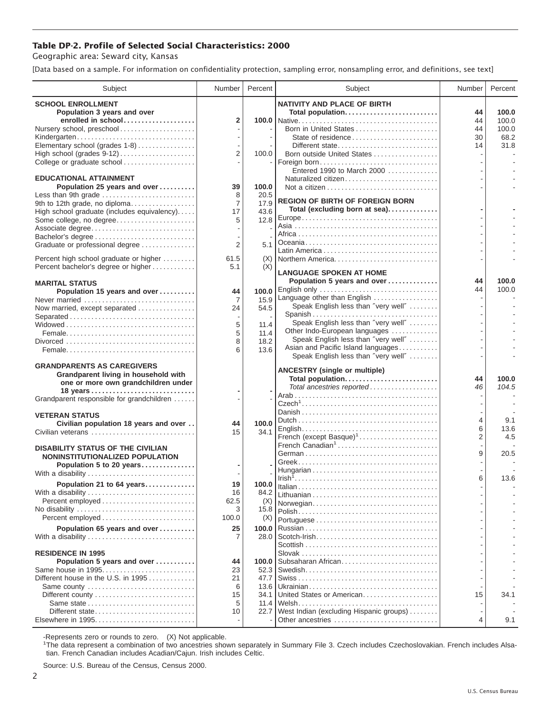## **Table DP-2. Profile of Selected Social Characteristics: 2000**

Geographic area: Seward city, Kansas

[Data based on a sample. For information on confidentiality protection, sampling error, nonsampling error, and definitions, see text]

| Subject                                                   | Number         | Percent       | Subject                                 | Number         | Percent |
|-----------------------------------------------------------|----------------|---------------|-----------------------------------------|----------------|---------|
| <b>SCHOOL ENROLLMENT</b>                                  |                |               | <b>NATIVITY AND PLACE OF BIRTH</b>      |                |         |
| Population 3 years and over                               |                |               | Total population                        | 44             | 100.0   |
| enrolled in school                                        | 2              |               |                                         | 44             | 100.0   |
| Nursery school, preschool                                 |                |               | Born in United States                   | 44             | 100.0   |
| Kindergarten                                              |                |               | State of residence                      | 30             | 68.2    |
| Elementary school (grades 1-8)                            |                |               | Different state                         | 14             | 31.8    |
| High school (grades 9-12)                                 | $\overline{2}$ | 100.0         | Born outside United States              |                |         |
| College or graduate school                                |                |               | Foreign born                            |                |         |
|                                                           |                |               | Entered 1990 to March 2000              |                |         |
| <b>EDUCATIONAL ATTAINMENT</b>                             |                |               | Naturalized citizen                     |                |         |
| Population 25 years and over                              | 39             | 100.0         |                                         |                |         |
| Less than 9th grade                                       | 8              | 20.5          |                                         |                |         |
| 9th to 12th grade, no diploma                             | $\overline{7}$ | 17.9          | <b>REGION OF BIRTH OF FOREIGN BORN</b>  |                |         |
| High school graduate (includes equivalency)               | 17             | 43.6          | Total (excluding born at sea)           |                |         |
| Some college, no degree                                   | 5              | 12.8          |                                         |                |         |
| Associate degree                                          |                |               |                                         |                |         |
| Bachelor's degree                                         |                |               |                                         |                |         |
| Graduate or professional degree                           | 2              | 5.1           |                                         |                |         |
|                                                           |                |               |                                         |                |         |
| Percent high school graduate or higher                    | 61.5           | (X)           |                                         |                |         |
| Percent bachelor's degree or higher                       | 5.1            | (X)           | <b>LANGUAGE SPOKEN AT HOME</b>          |                |         |
|                                                           |                |               | Population 5 years and over             | 44             | 100.0   |
| <b>MARITAL STATUS</b>                                     |                |               |                                         | 44             | 100.0   |
| Population 15 years and over                              | 44             | 100.0<br>15.9 | Language other than English             |                |         |
| Never married                                             | 7              |               | Speak English less than "very well"     |                |         |
| Now married, except separated                             | 24             | 54.5          | Spanish                                 |                |         |
| Separated                                                 | 5              | 11.4          | Speak English less than "very well"     |                |         |
|                                                           | 5              | 11.4          | Other Indo-European languages           |                |         |
|                                                           | 8              | 18.2          | Speak English less than "very well"     |                |         |
|                                                           | 6              | 13.6          | Asian and Pacific Island languages      |                |         |
|                                                           |                |               | Speak English less than "very well"     |                |         |
| <b>GRANDPARENTS AS CAREGIVERS</b>                         |                |               |                                         |                |         |
| Grandparent living in household with                      |                |               | <b>ANCESTRY (single or multiple)</b>    |                |         |
| one or more own grandchildren under                       |                |               | Total population                        | 44             | 100.0   |
| 18 years                                                  |                |               | Total ancestries reported               | 46             | 104.5   |
| Grandparent responsible for grandchildren                 |                |               |                                         |                |         |
|                                                           |                |               |                                         |                |         |
| <b>VETERAN STATUS</b>                                     |                |               |                                         |                |         |
| Civilian population 18 years and over                     | 44             | 100.0         |                                         | 4              | 9.1     |
| Civilian veterans                                         | 15             | 34.1          |                                         | 6              | 13.6    |
|                                                           |                |               | French (except Basque) <sup>1</sup>     | $\overline{2}$ | 4.5     |
| <b>DISABILITY STATUS OF THE CIVILIAN</b>                  |                |               | French Canadian <sup>1</sup>            |                |         |
| NONINSTITUTIONALIZED POPULATION                           |                |               |                                         | 9              | 20.5    |
| Population 5 to 20 years                                  |                |               |                                         |                |         |
| With a disability                                         |                |               |                                         |                |         |
| Population 21 to 64 years                                 | 19             | 100.0         |                                         | 6              | 13.6    |
| With a disability                                         | 16             | 84.2          |                                         |                |         |
|                                                           | 62.5           | (X)           |                                         |                |         |
|                                                           | З              | 15.8          | Norwegian                               |                |         |
| Percent employed                                          | 100.0          | (X)           |                                         |                |         |
|                                                           |                |               |                                         |                |         |
| Population 65 years and over                              | 25             | 100.0         |                                         |                |         |
| With a disability                                         |                | 28.0          |                                         |                |         |
| <b>RESIDENCE IN 1995</b>                                  |                |               |                                         |                |         |
|                                                           | 44             |               | Subsaharan African                      |                |         |
| Population 5 years and over                               |                | 100.0         |                                         |                |         |
| Same house in 1995<br>Different house in the U.S. in 1995 | 23<br>21       | 52.3<br>47.7  |                                         |                |         |
|                                                           | 6              | 13.6          |                                         |                |         |
| Same county<br>Different county                           | 15             | 34.1          | United States or American               | 15             | 34.1    |
|                                                           | 5              | 11.4          |                                         |                |         |
| Different state                                           | 10             | 22.7          | West Indian (excluding Hispanic groups) |                |         |
|                                                           |                |               | Other ancestries                        | 4              | 9.1     |
|                                                           |                |               |                                         |                |         |

-Represents zero or rounds to zero. (X) Not applicable. 1 The data represent a combination of two ancestries shown separately in Summary File 3. Czech includes Czechoslovakian. French includes Alsatian. French Canadian includes Acadian/Cajun. Irish includes Celtic.

Source: U.S. Bureau of the Census, Census 2000.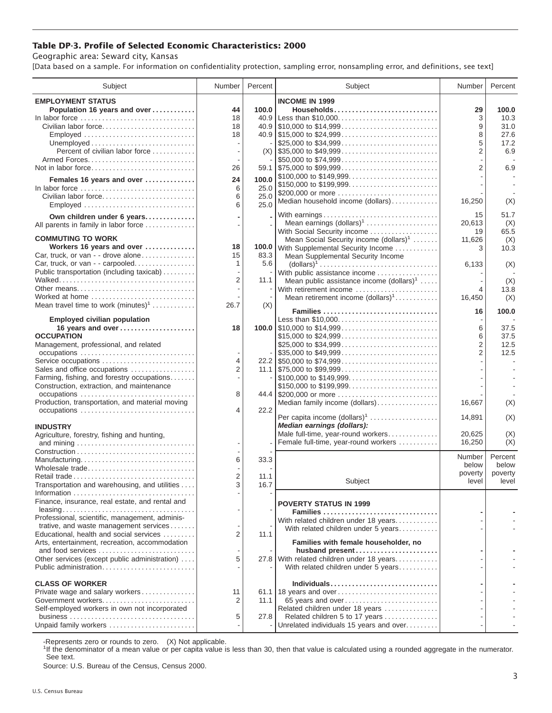## **Table DP-3. Profile of Selected Economic Characteristics: 2000**

Geographic area: Seward city, Kansas

[Data based on a sample. For information on confidentiality protection, sampling error, nonsampling error, and definitions, see text]

| Subject                                                         | Number         | Percent | Subject                                                                    | Number         | Percent     |
|-----------------------------------------------------------------|----------------|---------|----------------------------------------------------------------------------|----------------|-------------|
| <b>EMPLOYMENT STATUS</b>                                        |                |         | <b>INCOME IN 1999</b>                                                      |                |             |
| Population 16 years and over                                    | 44             | 100.0   | Households                                                                 | 29             | 100.0       |
| In labor force                                                  | 18             | 40.9    | Less than \$10,000                                                         | 3              | 10.3        |
| Civilian labor force                                            | 18             |         |                                                                            | 9              | 31.0        |
| Employed                                                        | 18             |         |                                                                            | 8<br>5         | 27.6        |
| Percent of civilian labor force                                 |                |         | \$25,000 to \$34,999                                                       | $\overline{2}$ | 17.2<br>6.9 |
|                                                                 |                |         | \$50,000 to \$74,999                                                       |                |             |
| Not in labor force                                              | 26             |         |                                                                            | $\overline{2}$ | 6.9         |
| Females 16 years and over                                       | 24             | 100.0   | \$100,000 to \$149,999                                                     |                |             |
| In labor force                                                  | 6              | 25.0    |                                                                            |                |             |
| Civilian labor force                                            | 6              | 25.0    | \$200,000 or more                                                          |                |             |
| Employed                                                        | 6              | 25.0    | Median household income (dollars)                                          | 16,250         | (X)         |
| Own children under 6 years                                      |                |         | With earnings                                                              | 15             | 51.7        |
| All parents in family in labor force                            |                |         | Mean earnings (dollars) <sup>1</sup>                                       | 20,613         | (X)         |
|                                                                 |                |         | With Social Security income                                                | 19             | 65.5        |
| <b>COMMUTING TO WORK</b>                                        |                |         | Mean Social Security income (dollars) <sup>1</sup>                         | 11,626         | (X)         |
| Workers 16 years and over<br>Car, truck, or van - - drove alone | 18<br>15       | 83.3    | 100.0 With Supplemental Security Income                                    | 3              | 10.3        |
| Car, truck, or van - - carpooled                                | 1              | 5.6     | Mean Supplemental Security Income                                          | 6,133          | (X)         |
| Public transportation (including taxicab)                       |                |         | With public assistance income                                              |                |             |
|                                                                 | $\overline{2}$ | 11.1    | Mean public assistance income $(dollars)^1$                                |                | (X)         |
| Other means                                                     |                |         | With retirement income                                                     | 4              | 13.8        |
| Worked at home                                                  |                |         | Mean retirement income $(dollars)1$                                        | 16,450         | (X)         |
| Mean travel time to work $(minutes)^1$                          | 26.7           | (X)     |                                                                            |                |             |
| <b>Employed civilian population</b>                             |                |         | Families<br>Less than \$10,000                                             | 16             | 100.0       |
| 16 years and over                                               | 18             |         |                                                                            | 6              | 37.5        |
| <b>OCCUPATION</b>                                               |                |         | \$15,000 to \$24,999                                                       | 6              | 37.5        |
| Management, professional, and related                           |                |         | \$25,000 to \$34,999                                                       | $\overline{2}$ | 12.5        |
|                                                                 |                |         | $\frac{1}{2}$ \$35,000 to \$49,999                                         | $\overline{2}$ | 12.5        |
| Service occupations                                             | $\overline{4}$ |         |                                                                            |                |             |
| Sales and office occupations                                    | $\overline{2}$ |         |                                                                            |                |             |
| Farming, fishing, and forestry occupations                      |                |         | \$100,000 to \$149,999                                                     |                |             |
| Construction, extraction, and maintenance                       | 8              |         | \$150,000 to \$199,999<br>44.4 \$200,000 or more                           |                |             |
| Production, transportation, and material moving                 |                |         | Median family income (dollars)                                             | 16,667         | (X)         |
|                                                                 | $\overline{4}$ | 22.2    |                                                                            |                |             |
|                                                                 |                |         | Per capita income (dollars) <sup>1</sup>                                   | 14,891         | (X)         |
| <b>INDUSTRY</b>                                                 |                |         | Median earnings (dollars):                                                 |                |             |
| Agriculture, forestry, fishing and hunting,                     |                |         | Male full-time, year-round workers<br>Female full-time, year-round workers | 20,625         | (X)         |
|                                                                 |                |         |                                                                            | 16,250         | (X)         |
| Manufacturing                                                   | 6              | 33.3    |                                                                            | Number         | Percent     |
| Wholesale trade                                                 |                |         |                                                                            | below          | below       |
| Retail trade                                                    | $\overline{2}$ | 11.1    |                                                                            | poverty        | poverty     |
| Transportation and warehousing, and utilities                   | 3              | 16.7    | Subject                                                                    | level          | level       |
|                                                                 |                |         |                                                                            |                |             |
| Finance, insurance, real estate, and rental and                 |                |         | <b>POVERTY STATUS IN 1999</b>                                              |                |             |
| Professional, scientific, management, adminis-                  |                |         | Families                                                                   |                |             |
| trative, and waste management services                          |                |         | With related children under 18 years                                       |                |             |
| Educational, health and social services                         | $\overline{2}$ | 11.1    | With related children under 5 years                                        |                |             |
| Arts, entertainment, recreation, accommodation                  |                |         | Families with female householder, no                                       |                |             |
| and food services                                               |                |         | husband present                                                            |                |             |
| Other services (except public administration)                   | 5              |         | 27.8 With related children under 18 years                                  |                |             |
| Public administration                                           |                |         | With related children under 5 years                                        |                |             |
| <b>CLASS OF WORKER</b>                                          |                |         | Individuals                                                                |                |             |
| Private wage and salary workers                                 | 11             |         | 61.1 18 years and over                                                     |                |             |
| Government workers                                              | 2              | 11.1    | 65 years and over                                                          |                |             |
| Self-employed workers in own not incorporated                   |                |         | Related children under 18 years                                            |                |             |
|                                                                 | 5              | 27.8    | Related children 5 to 17 years                                             |                |             |
| Unpaid family workers                                           |                |         | Unrelated individuals 15 years and over                                    |                |             |

-Represents zero or rounds to zero. (X) Not applicable.

<sup>1</sup>If the denominator of a mean value or per capita value is less than 30, then that value is calculated using a rounded aggregate in the numerator. See text.

Source: U.S. Bureau of the Census, Census 2000.